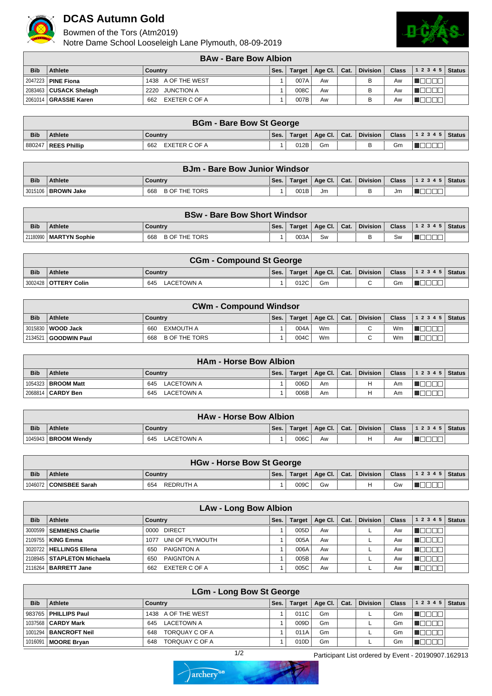

## **DCAS Autumn Gold**

Bowmen of the Tors (Atm2019)

Notre Dame School Looseleigh Lane Plymouth, 08-09-2019



|            | <b>BAw - Bare Bow Albion</b> |                      |      |        |                |  |                 |              |                |  |  |  |
|------------|------------------------------|----------------------|------|--------|----------------|--|-----------------|--------------|----------------|--|--|--|
| <b>Bib</b> | <b>Athlete</b>               | Country              | Ses. | Target | Age Cl.   Cat. |  | <b>Division</b> | <b>Class</b> | $12345$ Status |  |  |  |
|            | 2047223   PINE Fiona         | 1438 A OF THE WEST   |      | 007A   | Aw             |  |                 | Aw           |                |  |  |  |
|            | 2083463 CUSACK Shelagh       | JUNCTION A<br>2220   |      | 008C   | Aw             |  |                 | Aw           |                |  |  |  |
|            | 2061014   GRASSIE Karen      | EXETER C OF A<br>662 |      | 007B   | Aw             |  |                 | Aw           |                |  |  |  |

|            | <b>BGm - Bare Bow St George</b> |                      |      |      |    |  |  |    |                                                                 |  |  |
|------------|---------------------------------|----------------------|------|------|----|--|--|----|-----------------------------------------------------------------|--|--|
| <b>Bib</b> | <b>Athlete</b>                  | Country              | Ses. |      |    |  |  |    | Target   Age Cl.   Cat.   Division   Class   1 2 3 4 5   Status |  |  |
|            | 880247   REES Phillip           | EXETER C OF A<br>662 |      | 012B | Gm |  |  | Gm | ____                                                            |  |  |

|            | <b>BJm - Bare Bow Junior Windsor</b> |                      |      |        |                  |      |                 |              |                  |  |  |  |
|------------|--------------------------------------|----------------------|------|--------|------------------|------|-----------------|--------------|------------------|--|--|--|
| <b>Bib</b> | <b>Athlete</b>                       | Country              | Ses. | Target | $^\circ$ Age Cl. | Cat. | <b>Division</b> | <b>Class</b> | $ 12345 $ Status |  |  |  |
|            | 3015106   BROWN Jake                 | B OF THE TORS<br>668 |      | 001B   | Jm               |      |                 | Jm           |                  |  |  |  |

|            | <b>BSw - Bare Bow Short Windsor</b> |                             |      |        |                            |  |          |    |                               |  |  |  |
|------------|-------------------------------------|-----------------------------|------|--------|----------------------------|--|----------|----|-------------------------------|--|--|--|
| <b>Bib</b> | <b>Athlete</b>                      | Country                     | Ses. | Target | $\Box$ Age Cl. $\Box$ Cat. |  | Division |    | <b>Class</b> $ 12345 $ Status |  |  |  |
|            | 21180990   MARTYN Sophie            | <b>B OF THE TORS</b><br>668 |      | 003A   | Sw                         |  |          | Sw |                               |  |  |  |

|            | <b>CGm - Compound St George</b> |                          |      |        |    |  |                                                                       |    |                                                |  |  |  |
|------------|---------------------------------|--------------------------|------|--------|----|--|-----------------------------------------------------------------------|----|------------------------------------------------|--|--|--|
| <b>Bib</b> | <b>Athlete</b>                  | Country                  | Ses. | Target |    |  | $\parallel$ Age Cl. $\parallel$ Cat. $\parallel$ Division $\parallel$ |    | Class $\vert$ 1 2 3 4 5 $\vert$ Status $\vert$ |  |  |  |
|            | 3002428   OTTERY Colin          | <b>LACETOWN A</b><br>645 |      | 012C   | Gm |  | ົ                                                                     | Gm |                                                |  |  |  |

|            | <b>CWm - Compound Windsor</b> |                             |      |        |                      |  |                 |    |                                        |  |  |
|------------|-------------------------------|-----------------------------|------|--------|----------------------|--|-----------------|----|----------------------------------------|--|--|
| <b>Bib</b> | <b>Athlete</b>                | Country                     | Ses. | Target | $ $ Age Cl. $ $ Cat. |  | <b>Division</b> |    | Class $\vert$ 1 2 3 4 5 $\vert$ Status |  |  |
|            | ່ 3015830 <b>I WOOD Jack</b>  | EXMOUTH A<br>660            |      | 004A   | <b>Wm</b>            |  | $\sim$          | Wm |                                        |  |  |
|            | 2134521   GOODWIN Paul        | <b>B OF THE TORS</b><br>668 |      | 004C   | Wm                   |  | $\sim$          | Wm |                                        |  |  |

|            | <b>HAm - Horse Bow Albion</b> |                   |      |        |             |      |          |         |                |  |  |  |
|------------|-------------------------------|-------------------|------|--------|-------------|------|----------|---------|----------------|--|--|--|
| <b>Bib</b> | <b>Athlete</b>                | Country           | Ses. | Target | Age Cl. $ $ | Cat. | Division | Class N | $12345$ Status |  |  |  |
|            | 1054323   <b>BROOM Matt</b>   | 645<br>LACETOWN A |      | 006D   | Am          |      | н        | Am      |                |  |  |  |
|            | 2068814   CARDY Ben           | LACETOWN A<br>645 |      | 006B   | Am          |      |          | Am      |                |  |  |  |

|            | <b>HAw - Horse Bow Albion</b> |                   |      |        |         |      |          |              |                  |  |  |
|------------|-------------------------------|-------------------|------|--------|---------|------|----------|--------------|------------------|--|--|
| <b>Bib</b> | <b>Athlete</b>                | Country           | Ses. | Target | Age Cl. | Cat. | Division | <b>Class</b> | $ 12345 $ Status |  |  |
|            | 1045943   BROOM Wendy         | LACETOWN A<br>645 |      | 006C   | Aw      |      |          | Aw           |                  |  |  |

|            | <b>HGw - Horse Bow St George</b> |                  |      |        |                            |  |          |              |                    |  |  |
|------------|----------------------------------|------------------|------|--------|----------------------------|--|----------|--------------|--------------------|--|--|
| <b>Bib</b> | <b>Athlete</b>                   | Countrv          | Ses. | Target | $\Box$ Age Cl. $\Box$ Cat. |  | Division | <b>Class</b> | 1 2 3 4 5   Status |  |  |
|            | 1046072   CONISBEE Sarah         | REDRUTH A<br>654 |      | 009C   | Gw                         |  |          | Gw           |                    |  |  |

|            | LAw - Long Bow Albion      |                         |      |               |             |      |          |              |       |               |  |  |
|------------|----------------------------|-------------------------|------|---------------|-------------|------|----------|--------------|-------|---------------|--|--|
| <b>Bib</b> | Athlete                    | Country                 | Ses. | <b>Target</b> | Age Cl. $ $ | Cat. | Division | <b>Class</b> | 12345 | <b>Status</b> |  |  |
|            | 3000599 SEMMENS Charlie    | 0000 DIRECT             |      | 005D          | Aw          |      |          | Aw           |       |               |  |  |
|            | 2109755   KING Emma        | UNI OF PLYMOUTH<br>1077 |      | 005A          | Aw          |      |          | Aw           |       |               |  |  |
|            | 3020722   HELLINGS Ellena  | PAIGNTON A<br>650       |      | 006A          | Aw          |      |          | Aw           |       |               |  |  |
|            | 2108945 STAPLETON Michaela | PAIGNTON A<br>650       |      | 005B          | Aw          |      |          | Aw           |       |               |  |  |
|            | 2116264   BARRETT Jane     | EXETER C OF A<br>662    |      | 005C          | Aw          |      |          | Aw           |       |               |  |  |

|            | <b>LGm - Long Bow St George</b> |                          |      |               |             |      |                 |              |           |        |  |  |
|------------|---------------------------------|--------------------------|------|---------------|-------------|------|-----------------|--------------|-----------|--------|--|--|
| <b>Bib</b> | Athlete                         | Country                  | Ses. | <b>Target</b> | Age Cl. $ $ | Cat. | <b>Division</b> | <b>Class</b> | 1 2 3 4 5 | Status |  |  |
|            | 983765   PHILLIPS Paul          | 1438 A OF THE WEST       |      | 011C          | Gm          |      |                 | Gm           |           |        |  |  |
|            | 1037568   CARDY Mark            | <b>LACETOWN A</b><br>645 |      | 009D          | Gm          |      |                 | Gm           |           |        |  |  |
|            | 1001294   BANCROFT Neil         | TORQUAY C OF A<br>648    |      | 011A          | Gm          |      |                 | Gm           |           |        |  |  |
|            | 1016091   MOORE Bryan           | TORQUAY C OF A<br>648    |      | 010D          | Gm          |      |                 | Gm           |           |        |  |  |



1/2 Participant List ordered by Event - 20190907.162913